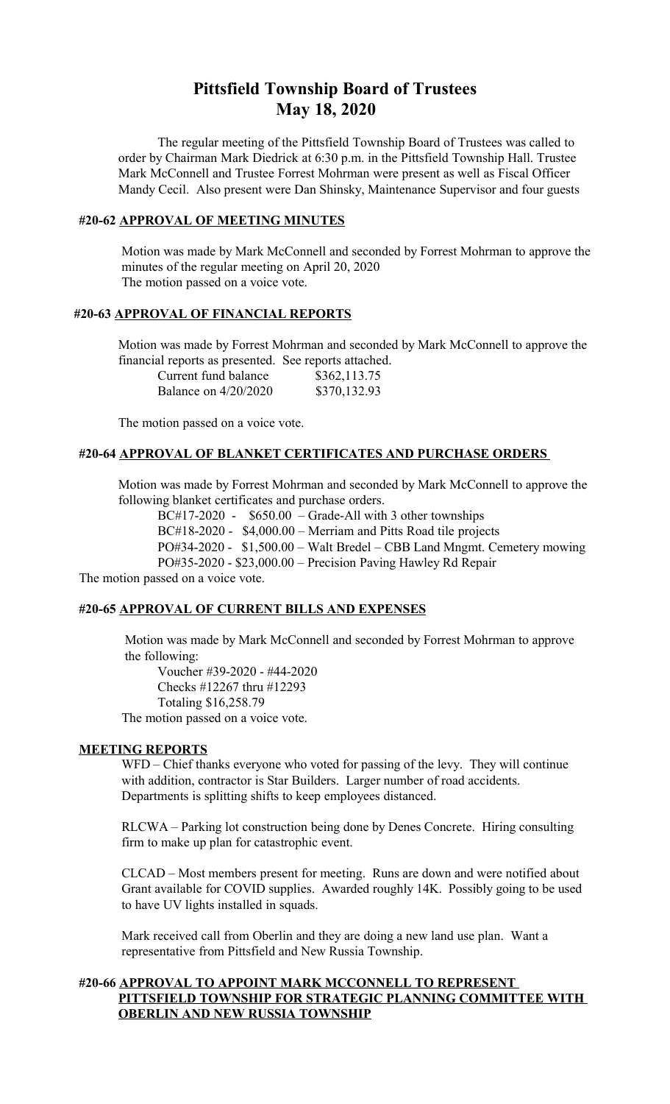# **Pittsfield Township Board of Trustees May 18, 2020**

The regular meeting of the Pittsfield Township Board of Trustees was called to order by Chairman Mark Diedrick at 6:30 p.m. in the Pittsfield Township Hall. Trustee Mark McConnell and Trustee Forrest Mohrman were present as well as Fiscal Officer Mandy Cecil. Also present were Dan Shinsky, Maintenance Supervisor and four guests

#### **#20-62 APPROVAL OF MEETING MINUTES**

 Motion was made by Mark McConnell and seconded by Forrest Mohrman to approve the minutes of the regular meeting on April 20, 2020 The motion passed on a voice vote.

#### **#20-63 APPROVAL OF FINANCIAL REPORTS**

Motion was made by Forrest Mohrman and seconded by Mark McConnell to approve the financial reports as presented. See reports attached.

| Current fund balance   | \$362,113.75 |
|------------------------|--------------|
| Balance on $4/20/2020$ | \$370,132.93 |

The motion passed on a voice vote.

## **#20-64 APPROVAL OF BLANKET CERTIFICATES AND PURCHASE ORDERS**

Motion was made by Forrest Mohrman and seconded by Mark McConnell to approve the following blanket certificates and purchase orders.

BC#17-2020 - \$650.00 – Grade-All with 3 other townships BC#18-2020 - \$4,000.00 – Merriam and Pitts Road tile projects PO#34-2020 - \$1,500.00 – Walt Bredel – CBB Land Mngmt. Cemetery mowing PO#35-2020 - \$23,000.00 – Precision Paving Hawley Rd Repair

The motion passed on a voice vote.

#### **#20-65 APPROVAL OF CURRENT BILLS AND EXPENSES**

 Motion was made by Mark McConnell and seconded by Forrest Mohrman to approve the following:

Voucher #39-2020 - #44-2020 Checks #12267 thru #12293 Totaling \$16,258.79 The motion passed on a voice vote.

#### **MEETING REPORTS**

WFD – Chief thanks everyone who voted for passing of the levy. They will continue with addition, contractor is Star Builders. Larger number of road accidents. Departments is splitting shifts to keep employees distanced.

RLCWA – Parking lot construction being done by Denes Concrete. Hiring consulting firm to make up plan for catastrophic event.

CLCAD – Most members present for meeting. Runs are down and were notified about Grant available for COVID supplies. Awarded roughly 14K. Possibly going to be used to have UV lights installed in squads.

Mark received call from Oberlin and they are doing a new land use plan. Want a representative from Pittsfield and New Russia Township.

## **#20-66 APPROVAL TO APPOINT MARK MCCONNELL TO REPRESENT PITTSFIELD TOWNSHIP FOR STRATEGIC PLANNING COMMITTEE WITH OBERLIN AND NEW RUSSIA TOWNSHIP**